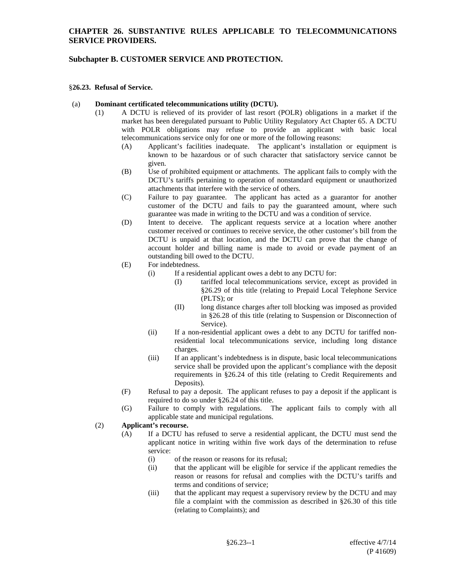### **CHAPTER 26. SUBSTANTIVE RULES APPLICABLE TO TELECOMMUNICATIONS SERVICE PROVIDERS.**

## **Subchapter B. CUSTOMER SERVICE AND PROTECTION.**

#### §**26.23. Refusal of Service.**

#### (a) **Dominant certificated telecommunications utility (DCTU).**

- (1) A DCTU is relieved of its provider of last resort (POLR) obligations in a market if the market has been deregulated pursuant to Public Utility Regulatory Act Chapter 65. A DCTU with POLR obligations may refuse to provide an applicant with basic local telecommunications service only for one or more of the following reasons:
	- (A) Applicant's facilities inadequate. The applicant's installation or equipment is known to be hazardous or of such character that satisfactory service cannot be given.
	- (B) Use of prohibited equipment or attachments.The applicant fails to comply with the DCTU's tariffs pertaining to operation of nonstandard equipment or unauthorized attachments that interfere with the service of others.
	- (C) Failure to pay guarantee.The applicant has acted as a guarantor for another customer of the DCTU and fails to pay the guaranteed amount, where such guarantee was made in writing to the DCTU and was a condition of service.
	- (D) Intent to deceive. The applicant requests service at a location where another customer received or continues to receive service, the other customer's bill from the DCTU is unpaid at that location, and the DCTU can prove that the change of account holder and billing name is made to avoid or evade payment of an outstanding bill owed to the DCTU.
	- (E) For indebtedness.
		- (i) If a residential applicant owes a debt to any DCTU for:
			- (I) tariffed local telecommunications service, except as provided in §26.29 of this title (relating to Prepaid Local Telephone Service (PLTS); or
			- (II) long distance charges after toll blocking was imposed as provided in §26.28 of this title (relating to Suspension or Disconnection of Service).
		- (ii) If a non-residential applicant owes a debt to any DCTU for tariffed nonresidential local telecommunications service, including long distance charges.
		- (iii) If an applicant's indebtedness is in dispute, basic local telecommunications service shall be provided upon the applicant's compliance with the deposit requirements in §26.24 of this title (relating to Credit Requirements and Deposits).
	- (F) Refusal to pay a deposit. The applicant refuses to pay a deposit if the applicant is required to do so under §26.24 of this title.
	- (G) Failure to comply with regulations. The applicant fails to comply with all applicable state and municipal regulations.

## (2) **Applicant's recourse.**

- (A) If a DCTU has refused to serve a residential applicant, the DCTU must send the applicant notice in writing within five work days of the determination to refuse service:
	- (i) of the reason or reasons for its refusal;
	- (ii) that the applicant will be eligible for service if the applicant remedies the reason or reasons for refusal and complies with the DCTU's tariffs and terms and conditions of service;
	- (iii) that the applicant may request a supervisory review by the DCTU and may file a complaint with the commission as described in §26.30 of this title (relating to Complaints); and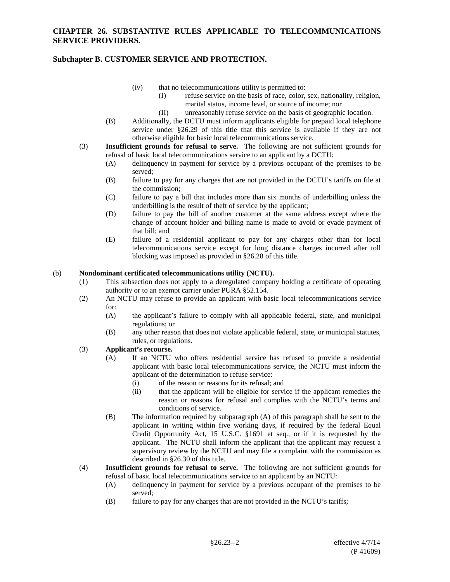## **Subchapter B. CUSTOMER SERVICE AND PROTECTION.**

- (iv) that no telecommunications utility is permitted to:
	- (I) refuse service on the basis of race, color, sex, nationality, religion, marital status, income level, or source of income; nor
	- (II) unreasonably refuse service on the basis of geographic location.
- (B) Additionally, the DCTU must inform applicants eligible for prepaid local telephone service under §26.29 of this title that this service is available if they are not otherwise eligible for basic local telecommunications service.
- (3) **Insufficient grounds for refusal to serve.** The following are not sufficient grounds for refusal of basic local telecommunications service to an applicant by a DCTU:
	- (A) delinquency in payment for service by a previous occupant of the premises to be served;
	- (B) failure to pay for any charges that are not provided in the DCTU's tariffs on file at the commission;
	- (C) failure to pay a bill that includes more than six months of underbilling unless the underbilling is the result of theft of service by the applicant;
	- (D) failure to pay the bill of another customer at the same address except where the change of account holder and billing name is made to avoid or evade payment of that bill; and
	- (E) failure of a residential applicant to pay for any charges other than for local telecommunications service except for long distance charges incurred after toll blocking was imposed as provided in §26.28 of this title.

#### (b) **Nondominant certificated telecommunications utility (NCTU).**

- (1) This subsection does not apply to a deregulated company holding a certificate of operating authority or to an exempt carrier under PURA §52.154.
- (2) An NCTU may refuse to provide an applicant with basic local telecommunications service for:
	- (A) the applicant's failure to comply with all applicable federal, state, and municipal regulations; or
	- (B) any other reason that does not violate applicable federal, state, or municipal statutes, rules, or regulations.

# (3) **Applicant's recourse.**

- (A) If an NCTU who offers residential service has refused to provide a residential applicant with basic local telecommunications service, the NCTU must inform the applicant of the determination to refuse service:
	- (i) of the reason or reasons for its refusal; and
	- (ii) that the applicant will be eligible for service if the applicant remedies the reason or reasons for refusal and complies with the NCTU's terms and conditions of service.
- (B) The information required by subparagraph (A) of this paragraph shall be sent to the applicant in writing within five working days, if required by the federal Equal Credit Opportunity Act, 15 U.S.C. §1691 et seq., or if it is requested by the applicant. The NCTU shall inform the applicant that the applicant may request a supervisory review by the NCTU and may file a complaint with the commission as described in §26.30 of this title.
- (4) **Insufficient grounds for refusal to serve.** The following are not sufficient grounds for refusal of basic local telecommunications service to an applicant by an NCTU:
	- (A) delinquency in payment for service by a previous occupant of the premises to be served;
	- (B) failure to pay for any charges that are not provided in the NCTU's tariffs;